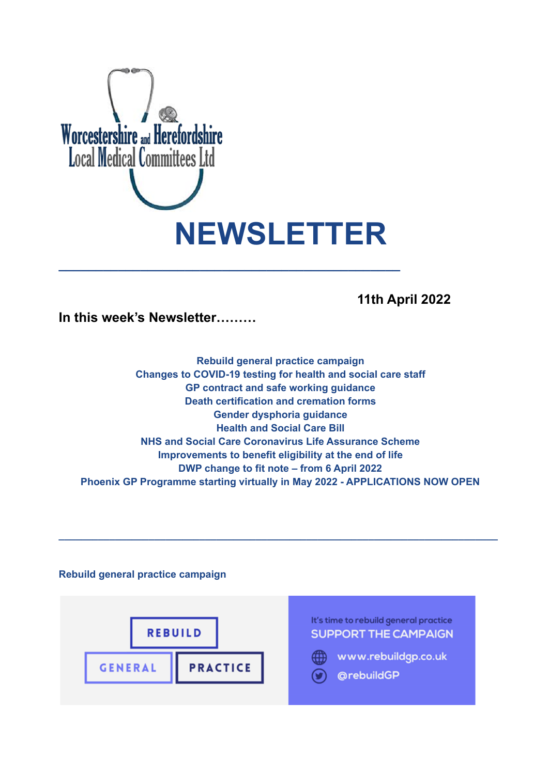

# **11th April 2022**

**In this week's Newsletter………**

**Rebuild general practice campaign Changes to COVID-19 testing for health and social care staff GP contract and safe working guidance Death certification and cremation forms Gender dysphoria guidance Health and Social Care Bill NHS and Social Care Coronavirus Life Assurance Scheme Improvements to benefit eligibility at the end of life DWP change to fit note – from 6 April 2022 Phoenix GP Programme starting virtually in May 2022 - APPLICATIONS NOW OPEN**

**\_\_\_\_\_\_\_\_\_\_\_\_\_\_\_\_\_\_\_\_\_\_\_\_\_\_\_\_\_\_\_\_\_\_\_\_\_\_\_\_\_\_\_\_\_\_\_\_\_\_\_\_\_\_\_\_\_\_\_\_\_\_\_\_\_\_\_\_\_\_\_\_\_\_\_\_\_\_**

# **Rebuild general practice campaign**

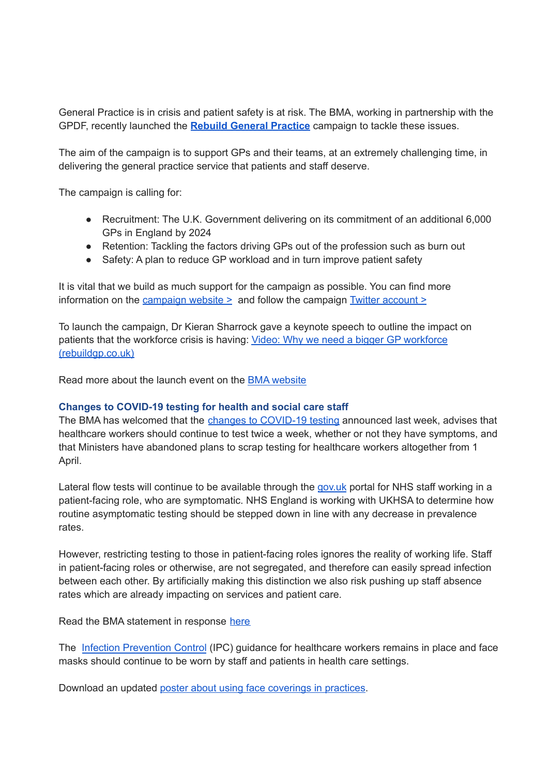General Practice is in crisis and patient safety is at risk. The BMA, working in partnership with the GPDF, recently launched the **Rebuild General [Practice](https://bma-mail.org.uk/t/JVX-7SE2J-JCJOU4-4QTDV1-1/c.aspx)** campaign to tackle these issues.

The aim of the campaign is to support GPs and their teams, at an extremely challenging time, in delivering the general practice service that patients and staff deserve.

The campaign is calling for:

- Recruitment: The U.K. Government delivering on its commitment of an additional 6,000 GPs in England by 2024
- Retention: Tackling the factors driving GPs out of the profession such as burn out
- Safety: A plan to reduce GP workload and in turn improve patient safety

It is vital that we build as much support for the campaign as possible. You can find more information on the [campaign](https://rebuildgp.co.uk/) website  $\geq$  and follow the campaign Twitter [account](https://twitter.com/rebuildgp)  $\geq$ 

To launch the campaign, Dr Kieran Sharrock gave a keynote speech to outline the impact on patients that the workforce crisis is having: Video: Why we need a bigger GP [workforce](http://www.rebuildgp.co.uk/campaign-assets/video-why-we-need-a-bigger-gp-workforce) [\(rebuildgp.co.uk\)](http://www.rebuildgp.co.uk/campaign-assets/video-why-we-need-a-bigger-gp-workforce)

Read more about the launch event on the BMA [website](https://www.bma.org.uk/news-and-opinion/gp-campaign-time-to-rebuild-general-practice)

# **Changes to COVID-19 testing for health and social care staff**

The BMA has welcomed that the changes to [COVID-19](https://www.england.nhs.uk/coronavirus/publication/living-with-covid-19-testing-update/) testing announced last week, advises that healthcare workers should continue to test twice a week, whether or not they have symptoms, and that Ministers have abandoned plans to scrap testing for healthcare workers altogether from 1 April.

Lateral flow tests will continue to be available through the [gov.uk](http://gov.uk/) portal for NHS staff working in a patient-facing role, who are symptomatic. NHS England is working with UKHSA to determine how routine asymptomatic testing should be stepped down in line with any decrease in prevalence rates.

However, restricting testing to those in patient-facing roles ignores the reality of working life. Staff in patient-facing roles or otherwise, are not segregated, and therefore can easily spread infection between each other. By artificially making this distinction we also risk pushing up staff absence rates which are already impacting on services and patient care.

Read the BMA statement in response [here](https://www.bma.org.uk/bma-media-centre/bma-responds-to-government-s-changes-to-covid-19-testing-for-health-and-social-care-staff)

The Infection [Prevention](https://www.gov.uk/government/publications/wuhan-novel-coronavirus-infection-prevention-and-control) Control (IPC) guidance for healthcare workers remains in place and face masks should continue to be worn by staff and patients in health care settings.

Download an updated poster about using face [coverings](https://www.bma.org.uk/media/5321/bma-visiting-your-gp-poster-mar2022.pdf) in practices.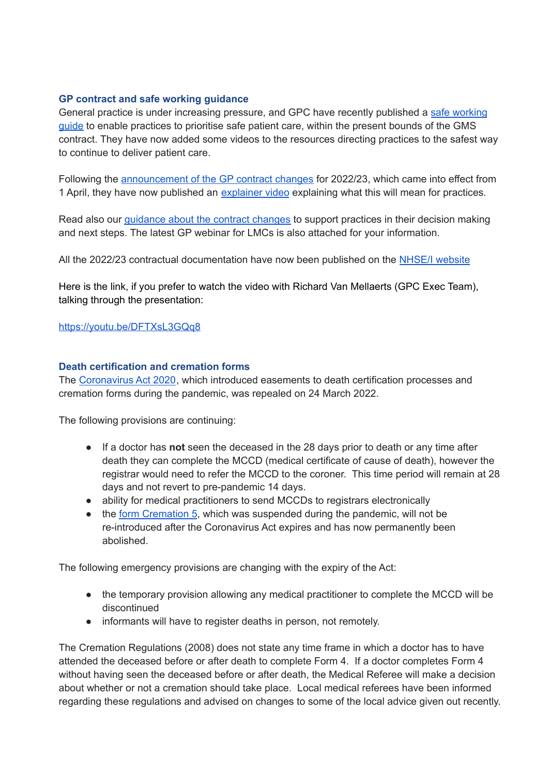# **GP contract and safe working guidance**

General practice is under increasing pressure, and GPC have recently published a safe [working](https://www.bma.org.uk/advice-and-support/gp-practices/managing-workload/safe-working-in-general-practice) [guide](https://www.bma.org.uk/advice-and-support/gp-practices/managing-workload/safe-working-in-general-practice) to enable practices to prioritise safe patient care, within the present bounds of the GMS contract. They have now added some videos to the resources directing practices to the safest way to continue to deliver patient care.

Following the [announcement](https://www.england.nhs.uk/publication/letter-general-practice-contract-arrangements-in-2022-23/) of the GP contract changes for 2022/23, which came into effect from 1 April, they have now published an [explainer](https://www.bma.org.uk/pay-and-contracts/contracts/gp-contract/gp-contract-changes-england-202223) video explaining what this will mean for practices*.*

Read also our [guidance](https://www.bma.org.uk/pay-and-contracts/contracts/gp-contract/gp-contract-changes-england-202223) about the contract changes to support practices in their decision making and next steps. The latest GP webinar for LMCs is also attached for your information.

All the 2022/23 contractual documentation have now been published on the NHSE/I [website](https://www.england.nhs.uk/gp/investment/gp-contract/)

Here is the link, if you prefer to watch the video with Richard Van Mellaerts (GPC Exec Team), talking through the presentation:

https://youtu.be/DFTXsL3GQq8

# **Death certification and cremation forms**

The [Coronavirus](https://services.parliament.uk/Bills/2019-21/coronavirus/documents.html) Act 2020, which introduced easements to death certification processes and cremation forms during the pandemic, was repealed on 24 March 2022.

The following provisions are continuing:

- If a doctor has **not** seen the deceased in the 28 days prior to death or any time after death they can complete the MCCD (medical certificate of cause of death), however the registrar would need to refer the MCCD to the coroner. This time period will remain at 28 days and not revert to pre-pandemic 14 days.
- ability for medical practitioners to send MCCDs to registrars electronically
- the form [Cremation](https://www.gov.uk/government/collections/cremation-forms-and-guidance) 5, which was suspended during the pandemic, will not be re-introduced after the Coronavirus Act expires and has now permanently been abolished.

The following emergency provisions are changing with the expiry of the Act:

- the temporary provision allowing any medical practitioner to complete the MCCD will be discontinued
- informants will have to register deaths in person, not remotely.

The Cremation Regulations (2008) does not state any time frame in which a doctor has to have attended the deceased before or after death to complete Form 4. If a doctor completes Form 4 without having seen the deceased before or after death, the Medical Referee will make a decision about whether or not a cremation should take place. Local medical referees have been informed regarding these regulations and advised on changes to some of the local advice given out recently.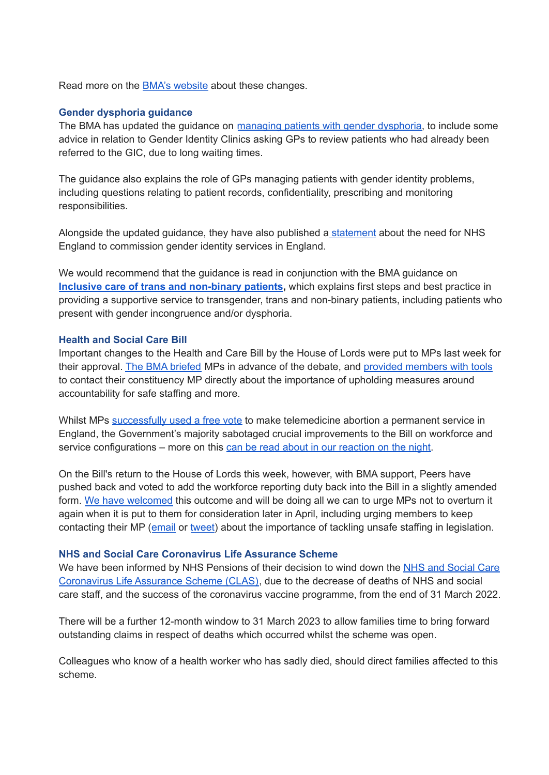Read more on the **BMA's [website](https://www.bma.org.uk/advice-and-support/covid-19/adapting-to-covid/covid-19-death-certification-and-cremation)** about these changes.

### **Gender dysphoria guidance**

The BMA has updated the guidance on [managing](https://www.bma.org.uk/advice-and-support/gp-practices/gp-service-provision/managing-patients-with-gender-dysphoria) patients with gender dysphoria, to include some advice in relation to Gender Identity Clinics asking GPs to review patients who had already been referred to the GIC, due to long waiting times.

The guidance also explains the role of GPs managing patients with gender identity problems, including questions relating to patient records, confidentiality, prescribing and monitoring responsibilities.

Alongside the updated guidance, they have also published a [statement](https://www.bma.org.uk/news-and-opinion/gpc-england-statement-on-commissioning-of-gender-identity-services-in-england) about the need for NHS England to commission gender identity services in England.

We would recommend that the guidance is read in conjunction with the BMA guidance on **Inclusive care of trans and [non-binary](https://www.bma.org.uk/advice-and-support/equality-and-diversity-guidance/lgbtplus-equality-in-medicine/inclusive-care-of-trans-and-non-binary-patients) patients,** which explains first steps and best practice in providing a supportive service to transgender, trans and non-binary patients, including patients who present with gender incongruence and/or dysphoria.

#### **Health and Social Care Bill**

Important changes to the Health and Care Bill by the House of Lords were put to MPs last week for their approval. The BMA [briefed](https://www.bma.org.uk/media/5472/bma-briefing-health-and-care-bill-consideration-of-amendments-mar-2022.pdf) MPs in advance of the debate, and provided [members](https://e-activist.com/page/101793/action/1?ea.tracking.id=website?ea.tracking.id=website) with tools to contact their constituency MP directly about the importance of upholding measures around accountability for safe staffing and more.

Whilst MPs [successfully](https://twitter.com/TheBMA/status/1509524182081499140?s=20&t=ElE2jXewgaHVUAUCVozREw) used a free vote to make telemedicine abortion a permanent service in England, the Government's majority sabotaged crucial improvements to the Bill on workforce and service configurations – more on this can be read about in our [reaction](https://www.bma.org.uk/bma-media-centre/truly-disappointing-says-bma-about-mps-voting-against-transparency-over-workforce-numbers) on the night.

On the Bill's return to the House of Lords this week, however, with BMA support, Peers have pushed back and voted to add the workforce reporting duty back into the Bill in a slightly amended form. We have [welcomed](https://twitter.com/thebma/status/1511423710300934155?s=21&t=xVWAQZxkgR2fvlpAsTqvwg) this outcome and will be doing all we can to urge MPs not to overturn it again when it is put to them for consideration later in April, including urging members to keep contacting their MP ([email](https://e-activist.com/page/101793/action/1?ea.tracking.id=website?ea.tracking.id=website) or [tweet](https://e-activist.com/page/102708/tweet/1?ea.tracking.id=website)) about the importance of tackling unsafe staffing in legislation.

#### **NHS and Social Care Coronavirus Life Assurance Scheme**

We have been informed by NHS Pensions of their decision to wind down the NHS and [Social](https://www.nhsbsa.nhs.uk/coronavirus-life-assurance-2020) Care [Coronavirus](https://www.nhsbsa.nhs.uk/coronavirus-life-assurance-2020) Life Assurance Scheme (CLAS), due to the decrease of deaths of NHS and social care staff, and the success of the coronavirus vaccine programme, from the end of 31 March 2022.

There will be a further 12-month window to 31 March 2023 to allow families time to bring forward outstanding claims in respect of deaths which occurred whilst the scheme was open.

Colleagues who know of a health worker who has sadly died, should direct families affected to this scheme.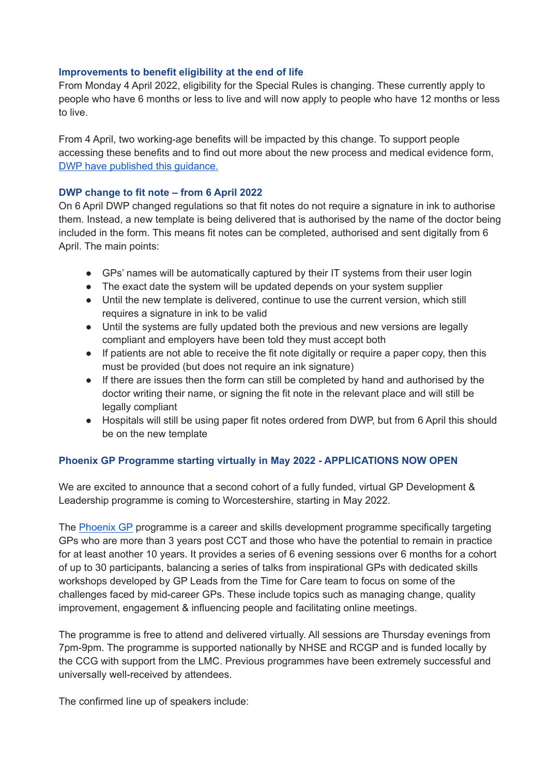# **Improvements to benefit eligibility at the end of life**

From Monday 4 April 2022, eligibility for the Special Rules is changing. These currently apply to people who have 6 months or less to live and will now apply to people who have 12 months or less to live.

From 4 April, two working-age benefits will be impacted by this change. To support people accessing these benefits and to find out more about the new process and medical evidence form, DWP have published this [guidance.](http://www.gov.uk/dwp/special-rules)

# **DWP change to fit note – from 6 April 2022**

On 6 April DWP changed regulations so that fit notes do not require a signature in ink to authorise them. Instead, a new template is being delivered that is authorised by the name of the doctor being included in the form. This means fit notes can be completed, authorised and sent digitally from 6 April. The main points:

- GPs' names will be automatically captured by their IT systems from their user login
- The exact date the system will be updated depends on your system supplier
- Until the new template is delivered, continue to use the current version, which still requires a signature in ink to be valid
- Until the systems are fully updated both the previous and new versions are legally compliant and employers have been told they must accept both
- If patients are not able to receive the fit note digitally or require a paper copy, then this must be provided (but does not require an ink signature)
- If there are issues then the form can still be completed by hand and authorised by the doctor writing their name, or signing the fit note in the relevant place and will still be legally compliant
- Hospitals will still be using paper fit notes ordered from DWP, but from 6 April this should be on the new template

# **Phoenix GP Programme starting virtually in May 2022 - APPLICATIONS NOW OPEN**

We are excited to announce that a second cohort of a fully funded, virtual GP Development & Leadership programme is coming to Worcestershire, starting in May 2022.

The [Phoenix](https://www.phoenixgp.co.uk/) GP programme is a career and skills development programme specifically targeting GPs who are more than 3 years post CCT and those who have the potential to remain in practice for at least another 10 years. It provides a series of 6 evening sessions over 6 months for a cohort of up to 30 participants, balancing a series of talks from inspirational GPs with dedicated skills workshops developed by GP Leads from the Time for Care team to focus on some of the challenges faced by mid-career GPs. These include topics such as managing change, quality improvement, engagement & influencing people and facilitating online meetings.

The programme is free to attend and delivered virtually. All sessions are Thursday evenings from 7pm-9pm. The programme is supported nationally by NHSE and RCGP and is funded locally by the CCG with support from the LMC. Previous programmes have been extremely successful and universally well-received by attendees.

The confirmed line up of speakers include: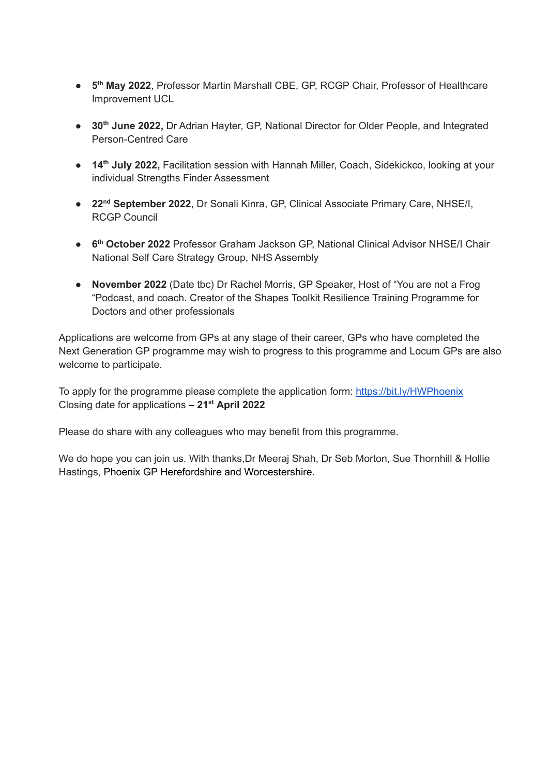- **5 th May 2022**, Professor Martin Marshall CBE, GP, RCGP Chair, Professor of Healthcare Improvement UCL
- **30 th June 2022,** Dr Adrian Hayter, GP, National Director for Older People, and Integrated Person-Centred Care
- **14 th July 2022,** Facilitation session with Hannah Miller, Coach, Sidekickco, looking at your individual Strengths Finder Assessment
- **22 nd September 2022**, Dr Sonali Kinra, GP, Clinical Associate Primary Care, NHSE/I, RCGP Council
- **6 th October 2022** Professor Graham Jackson GP, National Clinical Advisor NHSE/I Chair National Self Care Strategy Group, NHS Assembly
- **November 2022** (Date tbc) Dr Rachel Morris, GP Speaker, Host of "You are not a Frog "Podcast, and coach. Creator of the Shapes Toolkit Resilience Training Programme for Doctors and other professionals

Applications are welcome from GPs at any stage of their career, GPs who have completed the Next Generation GP programme may wish to progress to this programme and Locum GPs are also welcome to participate.

To apply for the programme please complete the application form: <https://bit.ly/HWPhoenix> Closing date for applications **– 21 st April 2022**

Please do share with any colleagues who may benefit from this programme.

We do hope you can join us. With thanks, Dr Meeraj Shah, Dr Seb Morton, Sue Thornhill & Hollie Hastings, Phoenix GP Herefordshire and Worcestershire.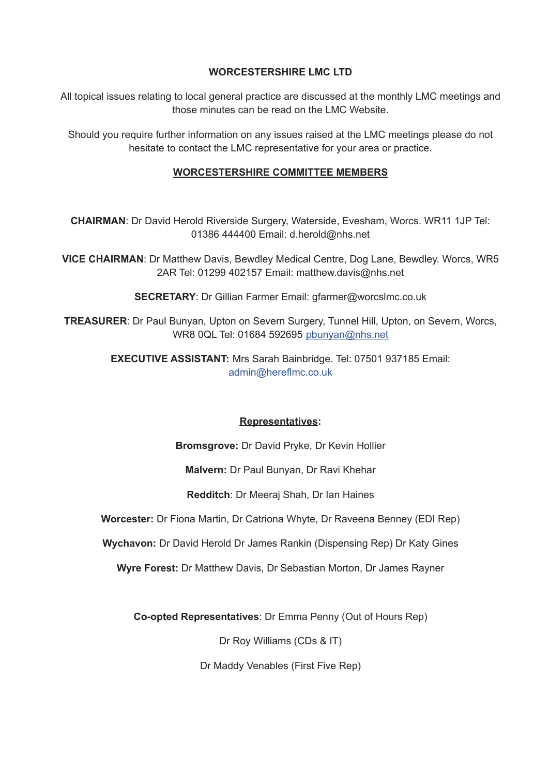# **WORCESTERSHIRE LMC LTD**

All topical issues relating to local general practice are discussed at the monthly LMC meetings and those minutes can be read on the LMC Website.

Should you require further information on any issues raised at the LMC meetings please do not hesitate to contact the LMC representative for your area or practice.

# **WORCESTERSHIRE COMMITTEE MEMBERS**

**CHAIRMAN**: Dr David Herold Riverside Surgery, Waterside, Evesham, Worcs. WR11 1JP Tel: 01386 444400 Email: d.herold@nhs.net

**VICE CHAIRMAN**: Dr Matthew Davis, Bewdley Medical Centre, Dog Lane, Bewdley. Worcs, WR5 2AR Tel: 01299 402157 Email: matthew.davis@nhs.net

**SECRETARY**: Dr Gillian Farmer Email: gfarmer@worcslmc.co.uk

**TREASURER**: Dr Paul Bunyan, Upton on Severn Surgery, Tunnel Hill, Upton, on Severn, Worcs, WR8 0QL Tel: 01684 592695 pbunyan@nhs.net

> **EXECUTIVE ASSISTANT:** Mrs Sarah Bainbridge. Tel: 07501 937185 Email: admin@hereflmc.co.uk

# **Representatives:**

**Bromsgrove:** Dr David Pryke, Dr Kevin Hollier

**Malvern:** Dr Paul Bunyan, Dr Ravi Khehar

**Redditch**: Dr Meeraj Shah, Dr Ian Haines

**Worcester:** Dr Fiona Martin, Dr Catriona Whyte, Dr Raveena Benney (EDI Rep)

**Wychavon:** Dr David Herold Dr James Rankin (Dispensing Rep) Dr Katy Gines

**Wyre Forest:** Dr Matthew Davis, Dr Sebastian Morton, Dr James Rayner

**Co-opted Representatives**: Dr Emma Penny (Out of Hours Rep)

Dr Roy Williams (CDs & IT)

Dr Maddy Venables (First Five Rep)